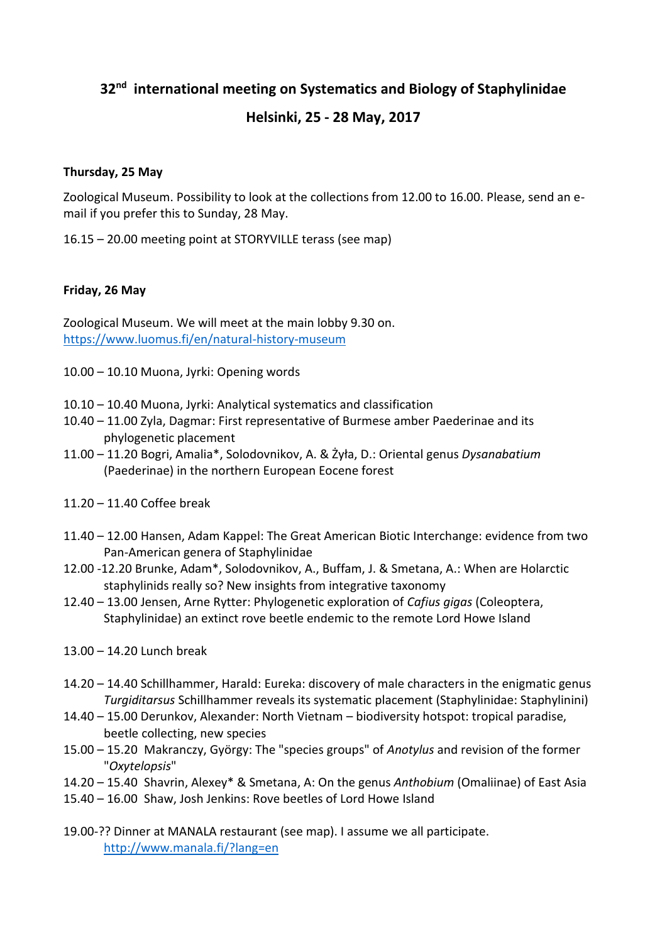# **32nd international meeting on Systematics and Biology of Staphylinidae**

# **Helsinki, 25 - 28 May, 2017**

# **Thursday, 25 May**

Zoological Museum. Possibility to look at the collections from 12.00 to 16.00. Please, send an email if you prefer this to Sunday, 28 May.

16.15 – 20.00 meeting point at STORYVILLE terass (see map)

# **Friday, 26 May**

Zoological Museum. We will meet at the main lobby 9.30 on. <https://www.luomus.fi/en/natural-history-museum>

- 10.00 10.10 Muona, Jyrki: Opening words
- 10.10 10.40 Muona, Jyrki: Analytical systematics and classification
- 10.40 11.00 Zyla, Dagmar: First representative of Burmese amber Paederinae and its phylogenetic placement
- 11.00 11.20 Bogri, Amalia\*, Solodovnikov, A. & Żyła, D.: Oriental genus *Dysanabatium* (Paederinae) in the northern European Eocene forest
- 11.20 11.40 Coffee break
- 11.40 12.00 Hansen, Adam Kappel: The Great American Biotic Interchange: evidence from two Pan-American genera of Staphylinidae
- 12.00 -12.20 Brunke, Adam\*, Solodovnikov, A., Buffam, J. & Smetana, A.: When are Holarctic staphylinids really so? New insights from integrative taxonomy
- 12.40 13.00 Jensen, Arne Rytter: Phylogenetic exploration of *Cafius gigas* (Coleoptera, Staphylinidae) an extinct rove beetle endemic to the remote Lord Howe Island
- 13.00 14.20 Lunch break
- 14.20 14.40 Schillhammer, Harald: Eureka: discovery of male characters in the enigmatic genus *Turgiditarsus* Schillhammer reveals its systematic placement (Staphylinidae: Staphylinini)
- 14.40 15.00 Derunkov, Alexander: North Vietnam biodiversity hotspot: tropical paradise, beetle collecting, new species
- 15.00 15.20 Makranczy, György: The "species groups" of *Anotylus* and revision of the former "*Oxytelopsis*"
- 14.20 15.40 Shavrin, Alexey\* & Smetana, A: On the genus *Anthobium* (Omaliinae) of East Asia
- 15.40 16.00 Shaw, Josh Jenkins: Rove beetles of Lord Howe Island
- 19.00-?? Dinner at MANALA restaurant (see map). I assume we all participate. <http://www.manala.fi/?lang=en>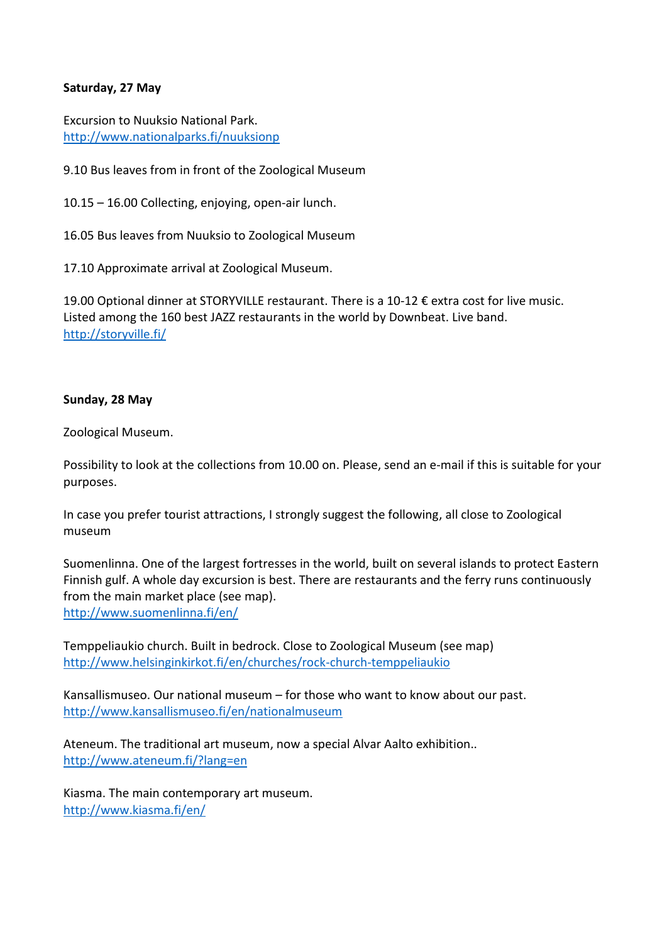# **Saturday, 27 May**

Excursion to Nuuksio National Park. <http://www.nationalparks.fi/nuuksionp>

9.10 Bus leaves from in front of the Zoological Museum

10.15 – 16.00 Collecting, enjoying, open-air lunch.

16.05 Bus leaves from Nuuksio to Zoological Museum

17.10 Approximate arrival at Zoological Museum.

19.00 Optional dinner at STORYVILLE restaurant. There is a 10-12 € extra cost for live music. Listed among the 160 best JAZZ restaurants in the world by Downbeat. Live band. <http://storyville.fi/>

#### **Sunday, 28 May**

Zoological Museum.

Possibility to look at the collections from 10.00 on. Please, send an e-mail if this is suitable for your purposes.

In case you prefer tourist attractions, I strongly suggest the following, all close to Zoological museum

Suomenlinna. One of the largest fortresses in the world, built on several islands to protect Eastern Finnish gulf. A whole day excursion is best. There are restaurants and the ferry runs continuously from the main market place (see map). <http://www.suomenlinna.fi/en/>

Temppeliaukio church. Built in bedrock. Close to Zoological Museum (see map) <http://www.helsinginkirkot.fi/en/churches/rock-church-temppeliaukio>

Kansallismuseo. Our national museum – for those who want to know about our past. <http://www.kansallismuseo.fi/en/nationalmuseum>

Ateneum. The traditional art museum, now a special Alvar Aalto exhibition.. <http://www.ateneum.fi/?lang=en>

Kiasma. The main contemporary art museum. <http://www.kiasma.fi/en/>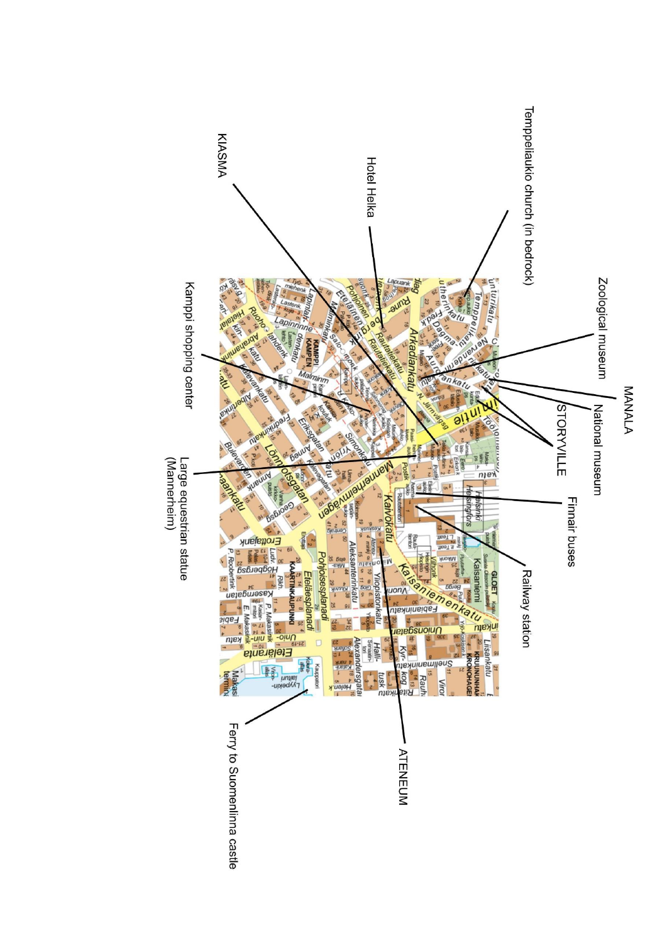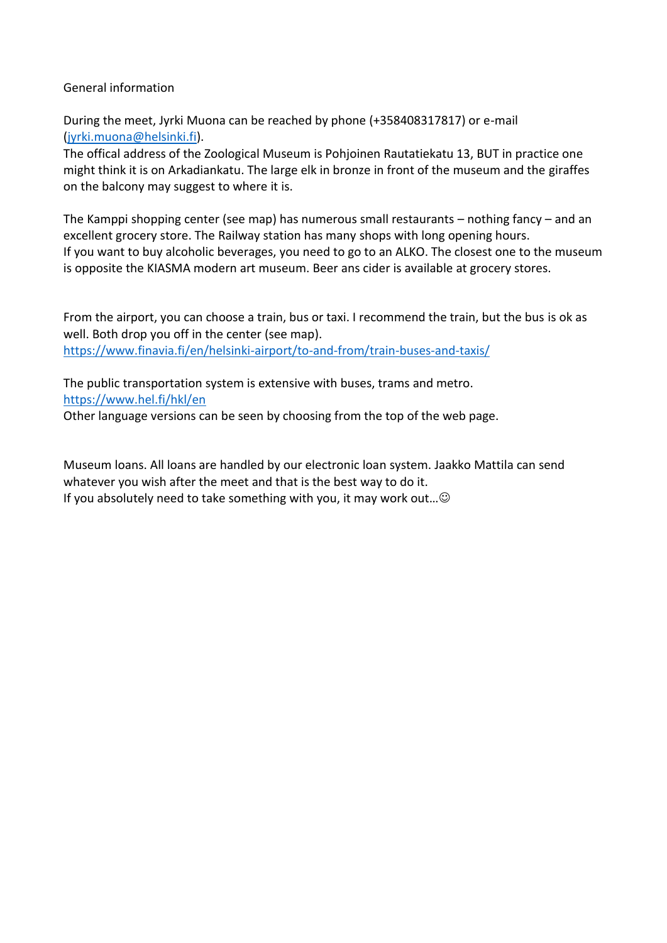#### General information

During the meet, Jyrki Muona can be reached by phone (+358408317817) or e-mail [\(jyrki.muona@helsinki.fi\)](mailto:jyrki.muona@helsinki.fi).

The offical address of the Zoological Museum is Pohjoinen Rautatiekatu 13, BUT in practice one might think it is on Arkadiankatu. The large elk in bronze in front of the museum and the giraffes on the balcony may suggest to where it is.

The Kamppi shopping center (see map) has numerous small restaurants – nothing fancy – and an excellent grocery store. The Railway station has many shops with long opening hours. If you want to buy alcoholic beverages, you need to go to an ALKO. The closest one to the museum is opposite the KIASMA modern art museum. Beer ans cider is available at grocery stores.

From the airport, you can choose a train, bus or taxi. I recommend the train, but the bus is ok as well. Both drop you off in the center (see map). <https://www.finavia.fi/en/helsinki-airport/to-and-from/train-buses-and-taxis/>

The public transportation system is extensive with buses, trams and metro. <https://www.hel.fi/hkl/en> Other language versions can be seen by choosing from the top of the web page.

Museum loans. All loans are handled by our electronic loan system. Jaakko Mattila can send whatever you wish after the meet and that is the best way to do it. If you absolutely need to take something with you, it may work out... $\odot$